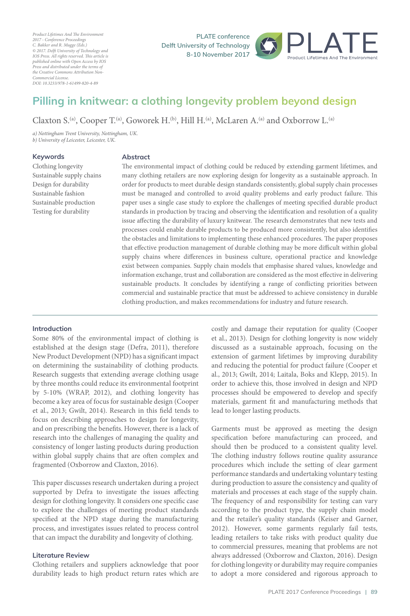*Product Lifetimes And The Environment 2017 - Conference Proceedings C. Bakker and R. Mugge (Eds.) © 2017. Delft University of Technology and IOS Press. All rights reserved. This article is published online with Open Access by IOS Press and distributed under the terms of the Creative Commons Attribution Non-Commercial License. DOI: 10.3233/978-1-61499-820-4-89*

**PLATE** conference **Pelft University of Technology 8-10 November 2017** 



## **<sup></sup> 1** *PA PA PA PA PA PA* Ĭ.

Claxton S.<sup>(a)</sup>, Cooper T.<sup>(a)</sup>, Goworek H.<sup>(b)</sup>, Hill H.<sup>(a)</sup>, McLaren A.<sup>(a)</sup> and Oxborrow L.<sup>(a)</sup>

*a) Nottingham Trent University, Nottingham, UK. b) University of Leicester, Leicester, UK.*

## **Ahstract**

 Clothing longevity Sustainable supply chains Design for durability Sustainable fashion Sustainable production Testing for durability

**Abstract** The environmental impact of clothing could be reduced by extending garment lifetimes, and many clothing retailers are now exploring design for longevity as a sustainable approach. In order for products to meet durable design standards consistently, global supply chain processes must be managed and controlled to avoid quality problems and early product failure. This paper uses a single case study to explore the challenges of meeting specified durable product standards in production by tracing and observing the identification and resolution of a quality issue affecting the durability of luxury knitwear. The research demonstrates that new tests and processes could enable durable products to be produced more consistently, but also identifies the obstacles and limitations to implementing these enhanced procedures. The paper proposes that effective production management of durable clothing may be more difficult within global supply chains where differences in business culture, operational practice and knowledge exist between companies. Supply chain models that emphasise shared values, knowledge and information exchange, trust and collaboration are considered as the most effective in delivering sustainable products. It concludes by identifying a range of conflicting priorities between commercial and sustainable practice that must be addressed to achieve consistency in durable clothing production, and makes recommendations for industry and future research.

## Introduction

Some 80% of the environmental impact of clothing is established at the design stage (Defra, 2011), therefore New Product Development (NPD) has a significant impact on determining the sustainability of clothing products. Research suggests that extending average clothing usage by three months could reduce its environmental footprint by 5-10% (WRAP, 2012), and clothing longevity has become a key area of focus for sustainable design (Cooper et al., 2013; Gwilt, 2014). Research in this field tends to focus on describing approaches to design for longevity, and on prescribing the benefits. However, there is a lack of research into the challenges of managing the quality and consistency of longer lasting products during production within global supply chains that are often complex and fragmented (Oxborrow and Claxton, 2016).

This paper discusses research undertaken during a project supported by Defra to investigate the issues affecting design for clothing longevity. It considers one specific case to explore the challenges of meeting product standards specified at the NPD stage during the manufacturing process, and investigates issues related to process control that can impact the durability and longevity of clothing.

## **Literature Review**

 Clothing retailers and suppliers acknowledge that poor durability leads to high product return rates which are

costly and damage their reputation for quality (Cooper et al., 2013). Design for clothing longevity is now widely discussed as a sustainable approach, focusing on the extension of garment lifetimes by improving durability and reducing the potential for product failure (Cooper et al., 2013; Gwilt, 2014; Laitala, Boks and Klepp, 2015). In order to achieve this, those involved in design and NPD processes should be empowered to develop and specify materials, garment fit and manufacturing methods that lead to longer lasting products.

Garments must be approved as meeting the design specification before manufacturing can proceed, and should then be produced to a consistent quality level. The clothing industry follows routine quality assurance procedures which include the setting of clear garment performance standards and undertaking voluntary testing during production to assure the consistency and quality of materials and processes at each stage of the supply chain. The frequency of and responsibility for testing can vary according to the product type, the supply chain model and the retailer's quality standards (Keiser and Garner, 2012). However, some garments regularly fail tests, leading retailers to take risks with product quality due to commercial pressures, meaning that problems are not always addressed (Oxborrow and Claxton, 2016). Design for clothing longevity or durability may require companies to adopt a more considered and rigorous approach to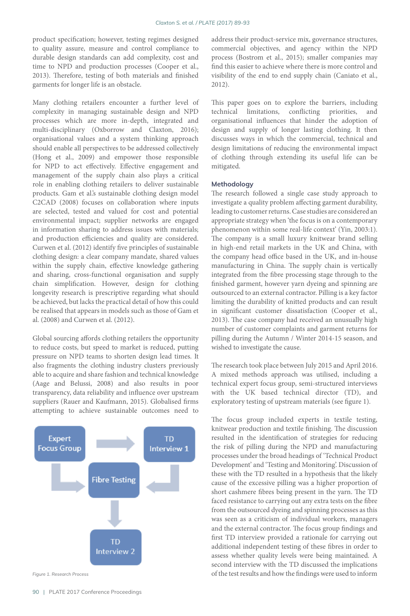product specification; however, testing regimes designed to quality assure, measure and control compliance to durable design standards can add complexity, cost and time to NPD and production processes (Cooper et al., 2013). Therefore, testing of both materials and finished garments for longer life is an obstacle.

Many clothing retailers encounter a further level of complexity in managing sustainable design and NPD processes which are more in-depth, integrated and multi-disciplinary (Oxborrow and Claxton, 2016); organisational values and a system thinking approach should enable all perspectives to be addressed collectively (Hong et al., 2009) and empower those responsible for NPD to act effectively. Effective engagement and management of the supply chain also plays a critical role in enabling clothing retailers to deliver sustainable products. Gam et al.'s sustainable clothing design model C2CAD (2008) focuses on collaboration where inputs are selected, tested and valued for cost and potential environmental impact; supplier networks are engaged in information sharing to address issues with materials; and production efficiencies and quality are considered. Curwen et al. (2012) identify five principles of sustainable clothing design: a clear company mandate, shared values within the supply chain, effective knowledge gathering and sharing, cross-functional organisation and supply chain simplification. However, design for clothing longevity research is prescriptive regarding what should be achieved, but lacks the practical detail of how this could be realised that appears in models such as those of Gam et al. (2008) and Curwen et al. (2012).

Global sourcing affords clothing retailers the opportunity to reduce costs, but speed to market is reduced, putting pressure on NPD teams to shorten design lead times. It also fragments the clothing industry clusters previously able to acquire and share fashion and technical knowledge (Aage and Belussi, 2008) and also results in poor transparency, data reliability and influence over upstream suppliers (Rauer and Kaufmann, 2015). Globalised firms attempting to achieve sustainable outcomes need to



*Figure 1. Research Process*

address their product-service mix, governance structures, commercial objectives, and agency within the NPD process (Bostrom et al., 2015); smaller companies may find this easier to achieve where there is more control and visibility of the end to end supply chain (Caniato et al., 2012).

This paper goes on to explore the barriers, including technical limitations, conflicting priorities, and organisational influences that hinder the adoption of design and supply of longer lasting clothing. It then discusses ways in which the commercial, technical and design limitations of reducing the environmental impact of clothing through extending its useful life can be mitigated.

 The research followed a single case study approach to investigate a quality problem affecting garment durability, leading to customer returns. Case studies are considered an appropriate strategy when 'the focus is on a contemporary phenomenon within some real-life context' (Yin, 2003:1). The company is a small luxury knitwear brand selling in high-end retail markets in the UK and China, with the company head office based in the UK, and in-house manufacturing in China. The supply chain is vertically integrated from the fibre processing stage through to the finished garment, however yarn dyeing and spinning are outsourced to an external contractor. Pilling is a key factor limiting the durability of knitted products and can result in significant customer dissatisfaction (Cooper et al., 2013). The case company had received an unusually high number of customer complaints and garment returns for pilling during the Autumn / Winter 2014-15 season, and wished to investigate the cause.

The research took place between July 2015 and April 2016. A mixed methods approach was utilised, including a technical expert focus group, semi-structured interviews with the UK based technical director (TD), and exploratory testing of upstream materials (see figure 1).

The focus group included experts in textile testing, knitwear production and textile finishing. The discussion resulted in the identification of strategies for reducing the risk of pilling during the NPD and manufacturing processes under the broad headings of 'Technical Product Development' and 'Testing and Monitoring'. Discussion of these with the TD resulted in a hypothesis that the likely cause of the excessive pilling was a higher proportion of short cashmere fibres being present in the yarn. The TD faced resistance to carrying out any extra tests on the fibre from the outsourced dyeing and spinning processes as this was seen as a criticism of individual workers, managers and the external contractor. The focus group findings and first TD interview provided a rationale for carrying out additional independent testing of these fibres in order to assess whether quality levels were being maintained. A second interview with the TD discussed the implications of the test results and how the findings were used to inform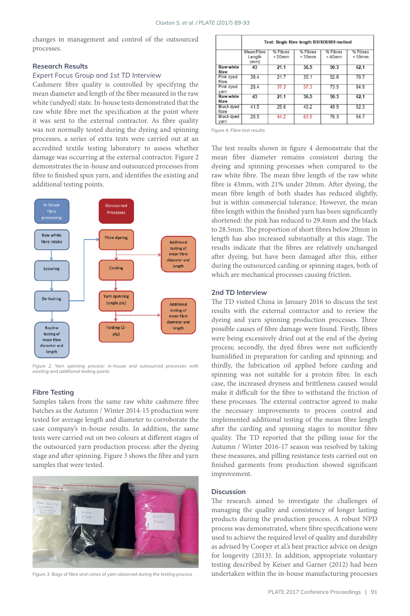changes in management and control of the outsourced processes.

## **Research Results**

# Expert Focus Group and 1st TD Interview

Cashmere fibre quality is controlled by specifying the mean diameter and length of the fibre measured in the raw white (undyed) state. In-house tests demonstrated that the raw white fibre met the specification at the point where it was sent to the external contractor. As fibre quality was not normally tested during the dyeing and spinning processes, a series of extra tests were carried out at an accredited textile testing laboratory to assess whether damage was occurring at the external contractor. Figure 2 demonstrates the in-house and outsourced processes from fibre to finished spun yarn, and identifies the existing and additional testing points.



*Figure 2. Yarn spinning process: in-house and outsourced processes with*   $\overline{a}$  existing and additional testing points

## **Fibre Testing**

Samples taken from the same raw white cashmere fibre batches as the Autumn / Winter 2014-15 production were tested for average length and diameter to corroborate the case company's in-house results. In addition, the same tests were carried out on two colours at different stages of the outsourced yarn production process: after the dyeing stage and after spinning. Figure 3 shows the fibre and yarn samples that were tested.



Figure 3. Bags of fibre and cones of yarn observed during the testing process

|                            | Test: Single fibre length BSISO6989 method |                         |                          |                       |                       |
|----------------------------|--------------------------------------------|-------------------------|--------------------------|-----------------------|-----------------------|
|                            | <b>Mean Fibre</b><br>Length<br>(mm)        | % Fibres<br>$\leq$ 20mm | % Fibres<br>$\leq 30$ mm | % Fibres<br>$< 40$ mm | % Fibres<br>$< 50$ mm |
| <b>Raw white</b><br>fibre  | 43                                         | 21.1                    | 36.5                     | 50.3                  | 62.1                  |
| <b>Pink dved</b><br>fibre  | 39.4                                       | 21.7                    | 35.1                     | 52.8                  | 70.7                  |
| Pink dyed<br>varn          | 29.4                                       | 37.3                    | 57.3                     | 73.5                  | 84 8                  |
| <b>Raw white</b><br>fibre  | 43                                         | 21.1                    | 36.5                     | 50.3                  | 62.1                  |
| <b>Black dved</b><br>fibre | 41.5                                       | 256                     | 40.2                     | 49.5                  | 623                   |
| <b>Black dved</b><br>varn  | 28.5                                       | 44.2                    | 63.5                     | 76.3                  | 84.7                  |

*Figure 4. Fibre test results*

The test results shown in figure 4 demonstrate that the mean fibre diameter remains consistent during the dyeing and spinning processes when compared to the raw white fibre. The mean fibre length of the raw white fibre is 43mm, with 21% under 20mm. After dyeing, the mean fibre length of both shades has reduced slightly, but is within commercial tolerance. However, the mean fibre length within the finished yarn has been significantly shortened: the pink has reduced to 29.4mm and the black to 28.5mm. The proportion of short fibres below 20mm in length has also increased substantially at this stage. The results indicate that the fibres are relatively unchanged after dyeing, but have been damaged after this, either during the outsourced carding or spinning stages, both of which are mechanical processes causing friction.

## 2nd TD Interview

 **!-**  The TD visited China in January 2016 to discuss the test results with the external contractor and to review the dyeing and yarn spinning production processes. Three possible causes of fibre damage were found. Firstly, fibres were being excessively dried out at the end of the dyeing process; secondly, the dyed fibres were not sufficiently humidified in preparation for carding and spinning; and thirdly, the lubrication oil applied before carding and spinning was not suitable for a protein fibre. In each case, the increased dryness and brittleness caused would make it difficult for the fibre to withstand the friction of these processes. The external contractor agreed to make the necessary improvements to process control and implemented additional testing of the mean fibre length after the carding and spinning stages to monitor fibre quality. The TD reported that the pilling issue for the Autumn / Winter 2016-17 season was resolved by taking these measures, and pilling resistance tests carried out on finished garments from production showed significant improvement.

**!**  The research aimed to investigate the challenges of managing the quality and consistency of longer lasting products during the production process. A robust NPD process was demonstrated, where fibre specifications were used to achieve the required level of quality and durability as advised by Cooper et al.'s best practice advice on design for longevity (2013). In addition, appropriate voluntary testing described by Keiser and Garner (2012) had been undertaken within the in-house manufacturing processes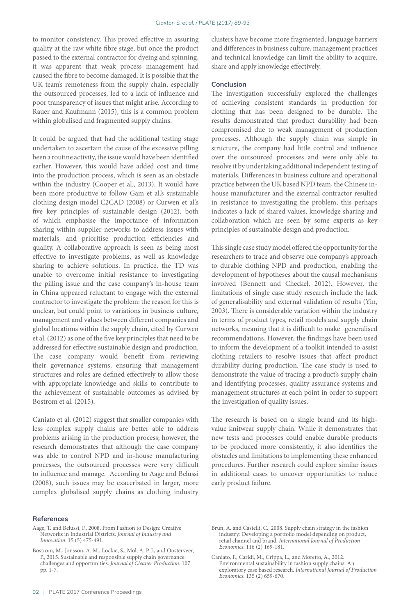to monitor consistency. This proved effective in assuring quality at the raw white fibre stage, but once the product passed to the external contractor for dyeing and spinning, it was apparent that weak process management had caused the fibre to become damaged. It is possible that the UK team's remoteness from the supply chain, especially the outsourced processes, led to a lack of influence and poor transparency of issues that might arise. According to Rauer and Kaufmann (2015), this is a common problem within globalised and fragmented supply chains.

It could be argued that had the additional testing stage undertaken to ascertain the cause of the excessive pilling been a routine activity, the issue would have been identified earlier. However, this would have added cost and time into the production process, which is seen as an obstacle within the industry (Cooper et al., 2013). It would have been more productive to follow Gam et al.'s sustainable clothing design model C2CAD (2008) or Curwen et al.'s five key principles of sustainable design (2012), both of which emphasise the importance of information sharing within supplier networks to address issues with materials, and prioritise production efficiencies and quality. A collaborative approach is seen as being most effective to investigate problems, as well as knowledge sharing to achieve solutions. In practice, the TD was unable to overcome initial resistance to investigating the pilling issue and the case company's in-house team in China appeared reluctant to engage with the external contractor to investigate the problem: the reason for this is unclear, but could point to variations in business culture, management and values between different companies and global locations within the supply chain, cited by Curwen et al. (2012) as one of the five key principles that need to be addressed for effective sustainable design and production. The case company would benefit from reviewing their governance systems, ensuring that management structures and roles are defined effectively to allow those with appropriate knowledge and skills to contribute to the achievement of sustainable outcomes as advised by Bostrom et al. (2015).

Caniato et al. (2012) suggest that smaller companies with less complex supply chains are better able to address problems arising in the production process; however, the research demonstrates that although the case company was able to control NPD and in-house manufacturing processes, the outsourced processes were very difficult to influence and manage. According to Aage and Belussi (2008), such issues may be exacerbated in larger, more complex globalised supply chains as clothing industry

## clusters have become more fragmented; language barriers and differences in business culture, management practices and technical knowledge can limit the ability to acquire, share and apply knowledge effectively.

## Conclusion

The investigation successfully explored the challenges of achieving consistent standards in production for clothing that has been designed to be durable. The results demonstrated that product durability had been compromised due to weak management of production processes. Although the supply chain was simple in structure, the company had little control and influence over the outsourced processes and were only able to resolve it by undertaking additional independent testing of materials. Differences in business culture and operational practice between the UK based NPD team, the Chinese inhouse manufacturer and the external contractor resulted in resistance to investigating the problem; this perhaps indicates a lack of shared values, knowledge sharing and collaboration which are seen by some experts as key principles of sustainable design and production.

This single case study model offered the opportunity for the researchers to trace and observe one company's approach to durable clothing NPD and production, enabling the development of hypotheses about the causal mechanisms involved (Bennett and Checkel, 2012). However, the limitations of single case study research include the lack of generalisability and external validation of results (Yin, 2003). There is considerable variation within the industry in terms of product types, retail models and supply chain networks, meaning that it is difficult to make generalised recommendations. However, the findings have been used to inform the development of a toolkit intended to assist clothing retailers to resolve issues that affect product durability during production. The case study is used to demonstrate the value of tracing a product's supply chain and identifying processes, quality assurance systems and management structures at each point in order to support the investigation of quality issues.

The research is based on a single brand and its highvalue knitwear supply chain. While it demonstrates that new tests and processes could enable durable products to be produced more consistently, it also identifies the obstacles and limitations to implementing these enhanced procedures. Further research could explore similar issues in additional cases to uncover opportunities to reduce early product failure.

- **References** Aage, T. and Belussi, F., 2008. From Fashion to Design: Creative Networks in Industrial Districts. *Journal of Industry and Innovation*. 15 (5) 475-491.
- Bostrom, M., Jonsson, A. M., Lockie, S., Mol, A. P. J., and Oosterveer, P., 2015. Sustainable and responsible supply chain governance: challenges and opportunities. *Journal of Cleaner Production*. 107 pp. 1-7.
- Brun, A. and Castelli, C., 2008. Supply chain strategy in the fashion industry: Developing a portfolio model depending on product, retail channel and brand. *International Journal of Production Economics*. 116 (2) 169-181.
- Caniato, F., Caridi, M., Crippa, L., and Moretto, A., 2012. Environmental sustainability in fashion supply chains: An exploratory case based research. *International Journal of Production Economics.* 135 (2) 659-670.